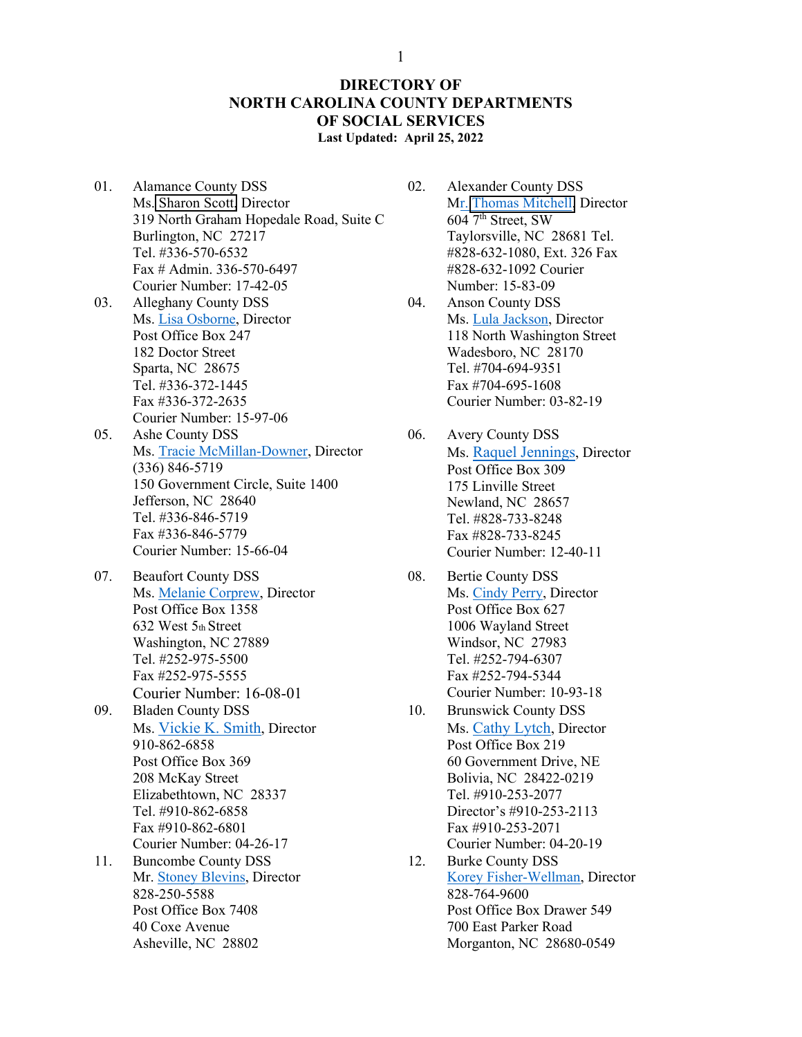## **DIRECTORY OF NORTH CAROLINA COUNTY DEPARTMENTS OF SOCIAL SERVICES Last Updated: April 25, 2022**

- 01. Alamance County DSS Ms. [Sharon Scott,](mailto:sharon.scott@alamance-nc.com) Director 319 North Graham Hopedale Road, Suite C Burlington, NC 27217 Tel. #336-570-6532 Fax # Admin. 336-570-6497 Courier Number: 17-42-05
- 03. Alleghany County DSS Ms. [Lisa Osborne,](mailto:Lisa.Osborne@alleghany.nc.gov) Director Post Office Box 247 182 Doctor Street Sparta, NC 28675 Tel. #336-372-1445 Fax #336-372-2635 Courier Number: 15-97-06
- 05. Ashe County DSS Ms. [Tracie McMillan-Downer,](mailto:traciemcmillan@ashecountygov.com) Director (336) 846-5719 150 Government Circle, Suite 1400 Jefferson, NC 28640 Tel. #336-846-5719 Fax #336-846-5779 Courier Number: 15-66-04
- 07. Beaufort County DSS Ms. [Melanie Corprew,](mailto:Melanie.corprew@beaufortdss.com) Director Post Office Box 1358 632 West 5th Street Washington, NC 27889 Tel. #252-975-5500 Fax #252-975-5555 Courier Number: 16-08-01 09. Bladen County DSS
- Ms. [Vickie K. Smith,](mailto:vsmith@bladenco.org) Director 910-862-6858 Post Office Box 369 208 McKay Street Elizabethtown, NC 28337 Tel. #910-862-6858 Fax #910-862-6801 Courier Number: 04-26-17
- 11. Buncombe County DSS Mr. [Stoney Blevins,](mailto:Stoney.blevins@buncombecounty.org) Director 828-250-5588 Post Office Box 7408 40 Coxe Avenue Asheville, NC 28802
- 02. Alexander County DSS Mr. [Thomas Mitchell](mailto:tmitchell@alexandercountync.gov), Director  $604$  7<sup>th</sup> Street, SW Taylorsville, NC 28681 Tel. #828-632-1080, Ext. 326 Fax #828-632-1092 Courier Number: 15-83-09
- 04. Anson County DSS Ms. [Lula Jackson,](mailto:Lcolson-jackson@co.anson.nc.us) Director 118 North Washington Street Wadesboro, NC 28170 Tel. #704-694-9351 Fax #704-695-1608 Courier Number: 03-82-19
- 06. Avery County DSS Ms. Raquel Jennings, Director Post Office Box 309 175 Linville Street Newland, NC 28657 Tel. #828-733-8248 Fax #828-733-8245 Courier Number: 12-40-11
- 08. Bertie County DSS Ms. [Cindy Perry,](mailto:Cindy.Perry@bertie.nc.gov) Director Post Office Box 627 1006 Wayland Street Windsor, NC 27983 Tel. #252-794-6307 Fax #252-794-5344 Courier Number: 10-93-18
- 10. Brunswick County DSS Ms. [Cathy](mailto:Catherine.lytch@brunswickcountync.gov) Lytch, Director Post Office Box 219 60 Government Drive, NE Bolivia, NC 28422-0219 Tel. #910-253-2077 Director's #910-253-2113 Fax #910-253-2071 Courier Number: 04-20-19
- 12. Burke County DSS [Korey Fisher-Wellman,](mailto:kfwellman@burkenc.org) Director 828-764-9600 Post Office Box Drawer 549 700 East Parker Road Morganton, NC 28680-0549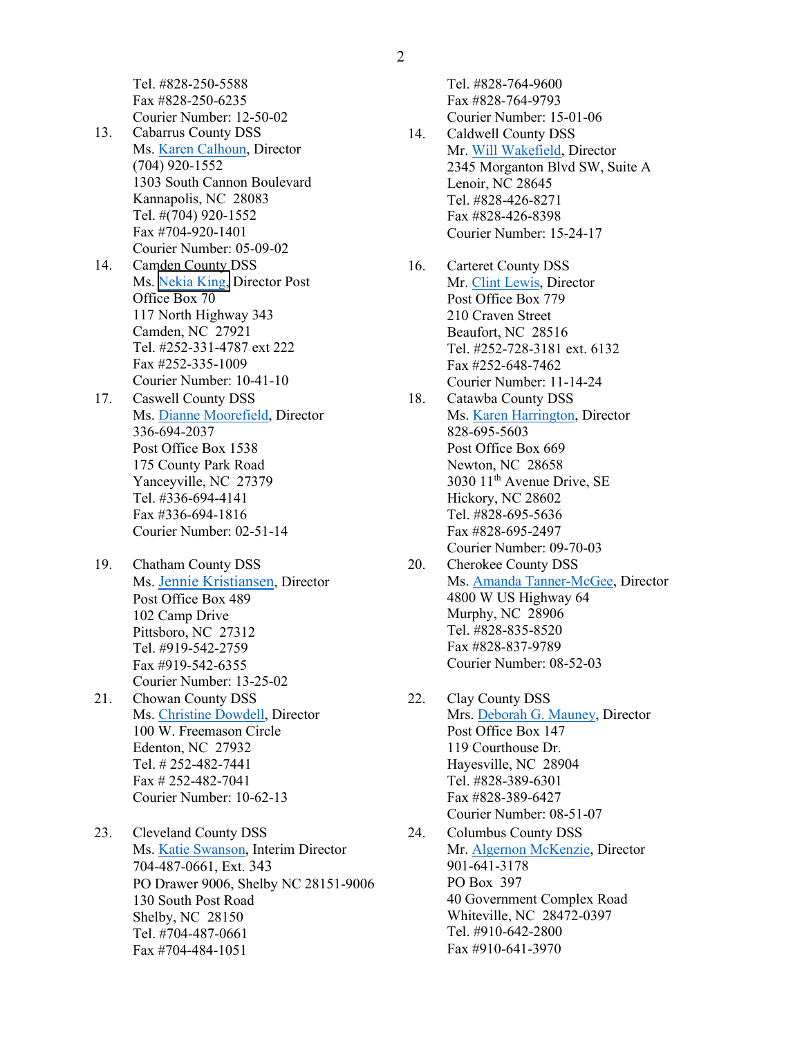Tel. #828-250-5588 Fax #828-250-6235 Courier Number: 12-50-02

- 13. Cabarrus County DSS Ms[. Karen Calhoun,](mailto:kbcalhoun@cabarruscounty.us) Director (704) 920-1552 1303 South Cannon Boulevard Kannapolis, NC 28083 Tel. #(704) 920-1552 Fax #704-920-1401 Courier Number: 05-09-02
- 14. Camden County DSS Ms. [Nekia King](mailto:nking@camdencountync.gov), Director Post Office Box 70 117 North Highway 343 Camden, NC 27921 Tel. #252-331-4787 ext 222 Fax #252-335-1009 Courier Number: 10-41-10
- 17. Caswell County DSS Ms. [Dianne Moorefield,](mailto:dmoorefield@caswellcountync.gov) Director 336-694-2037 Post Office Box 1538 175 County Park Road Yanceyville, NC 27379 Tel. #336-694-4141 Fax #336-694-1816 Courier Number: 02-51-14
- 19. Chatham County DSS Ms. [Jennie Kristiansen,](mailto:jennie.kristiansen@chathamnc.org) Director Post Office Box 489 102 Camp Drive Pittsboro, NC 27312 Tel. #919-542-2759 Fax #919-542-6355 Courier Number: 13-25-02
- 21. Chowan County DSS Ms. [Christine Dowdell,](mailto:Christine.Dowdell@chowan.nc.gov) Director 100 W. Freemason Circle Edenton, NC 27932 Tel. # 252-482-7441 Fax # 252-482-7041 Courier Number: 10-62-13
- 23. Cleveland County DSS Ms. [Katie Swanson,](mailto:Katie.Swanson@clevelandcounty.com) Interim Director 704-487-0661, Ext. 343 PO Drawer 9006, Shelby NC 28151-9006 130 South Post Road Shelby, NC 28150 Tel. #704-487-0661 Fax #704-484-1051

Tel. #828-764-9600 Fax #828-764-9793 Courier Number: 15-01-06

- 14. Caldwell County DSS Mr. [Will Wakefield,](mailto:wwakefield@caldwellcountync.org) Director 2345 Morganton Blvd SW, Suite A Lenoir, NC 28645 Tel. #828-426-8271 Fax #828-426-8398 Courier Number: 15-24-17
- 16. Carteret County DSS Mr. [Clint Lewis,](mailto:Clint.lewis@carteretcountync.gov) Director Post Office Box 779 210 Craven Street Beaufort, NC 28516 Tel. #252-728-3181 ext. 6132 Fax #252-648-7462 Courier Number: 11-14-24
- 18. Catawba County DSS Ms. [Karen Harrington,](mailto:KHarrington@CatawbaCountyNC.gov) Director 828-695-5603 Post Office Box 669 Newton, NC 28658 3030 11th Avenue Drive, SE Hickory, NC 28602 Tel. #828-695-5636 Fax #828-695-2497 Courier Number: 09-70-03
- 20. Cherokee County DSS Ms. [Amanda Tanner-McGee,](mailto:Amanda.McGee@cherokeecounty-nc.gov) Director 4800 W US Highway 64 Murphy, NC 28906 Tel. #828-835-8520 Fax #828-837-9789 Courier Number: 08-52-03
- 22. Clay County DSS Mrs[. Deborah G. Mauney,](mailto:Debbie.mauney@claydss.us) Director Post Office Box 147 119 Courthouse Dr. Hayesville, NC 28904 Tel. #828-389-6301 Fax #828-389-6427 Courier Number: 08-51-07
- 24. Columbus County DSS Mr. [Algernon McKenzie,](mailto:almckenzie@columbusco.org) Director 901-641-3178 PO Box 397 40 Government Complex Road Whiteville, NC 28472-0397 Tel. #910-642-2800 Fax #910-641-3970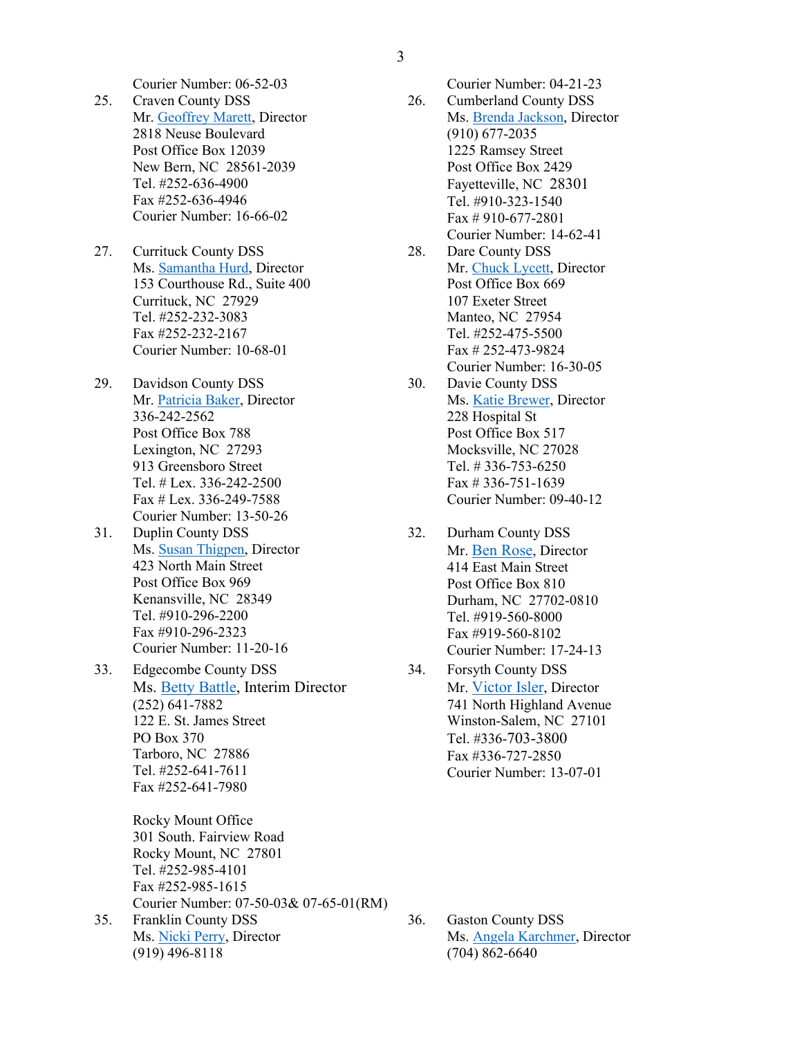3

- 25. Craven County DSS Mr. [Geoffrey Marett,](mailto:geoffrey.marett@cravencountync.gov) Director 2818 Neuse Boulevard Post Office Box 12039 New Bern, NC 28561-2039 Tel. #252-636-4900 Fax #252-636-4946 Courier Number: 16-66-02
- 27. Currituck County DSS Ms. [Samantha Hurd,](mailto:Samantha.Hurd@CurrituckCountyNC.gov) Director 153 Courthouse Rd., Suite 400 Currituck, NC 27929 Tel. #252-232-3083 Fax #252-232-2167 Courier Number: 10-68-01
- 29. Davidson County DSS Mr. [Patricia Baker,](mailto:Patricia.Baker@davidsoncountync.gov) Director 336-242-2562 Post Office Box 788 Lexington, NC 27293 913 Greensboro Street Tel. # Lex. 336-242-2500 Fax # Lex. 336-249-7588 Courier Number: 13-50-26
- 31. Duplin County DSS Ms. [Susan Thigpen,](mailto:Susan.Thigpen@duplincountync.com) Director 423 North Main Street Post Office Box 969 Kenansville, NC 28349 Tel. #910-296-2200 Fax #910-296-2323 Courier Number: 11-20-16
- 33. Edgecombe County DSS Ms. [Betty Battle,](mailto:bettybattle@edgecombeco.com) Interim Director (252) 641-7882 122 E. St. James Street PO Box 370 Tarboro, NC 27886 Tel. #252-641-7611 Fax #252-641-7980

Rocky Mount Office 301 South. Fairview Road Rocky Mount, NC 27801 Tel. #252-985-4101 Fax #252-985-1615 Courier Number: 07-50-03& 07-65-01(RM)

35. Franklin County DSS Ms. [Nicki Perry,](mailto:nperry@franklincountync.us) Director (919) 496-8118

- Courier Number: 06-52-03 Courier Number: 04-21-23 26. Cumberland County DSS Ms. [Brenda Jackson,](mailto:brendajackson@ccdssnc.com) Director (910) 677-2035 1225 Ramsey Street Post Office Box 2429
	- Fayetteville, NC 28301 Tel. #910-323-1540 Fax # 910-677-2801 Courier Number: 14-62-41
	- 28. Dare County DSS Mr. [Chuck Lycett,](mailto:lycettC@dcdss.org) Director Post Office Box 669 107 Exeter Street Manteo, NC 27954 Tel. #252-475-5500 Fax # 252-473-9824 Courier Number: 16-30-05
	- 30. Davie County DSS Ms. [Katie Brewer,](mailto:kgbrewer@daviecountync.gov) Director 228 Hospital St Post Office Box 517 Mocksville, NC 27028 Tel. # 336-753-6250 Fax # 336-751-1639 Courier Number: 09-40-12
	- 32. Durham County DSS Mr. [Ben Rose,](mailto:wrose@dconc.gov) Director 414 East Main Street Post Office Box 810 Durham, NC 27702-0810 Tel. #919-560-8000 Fax #919-560-8102 Courier Number: 17-24-13
	- 34. Forsyth County DSS Mr. [Victor Isler,](mailto:islervr@forsyth.cc) Director 741 North Highland Avenue Winston-Salem, NC 27101 Tel. #336-703-3800 Fax #336-727-2850 Courier Number: 13-07-01

36. Gaston County DSS Ms. [Angela Karchmer,](mailto:Angela.karchmer@gastongov.com) Director (704) 862-6640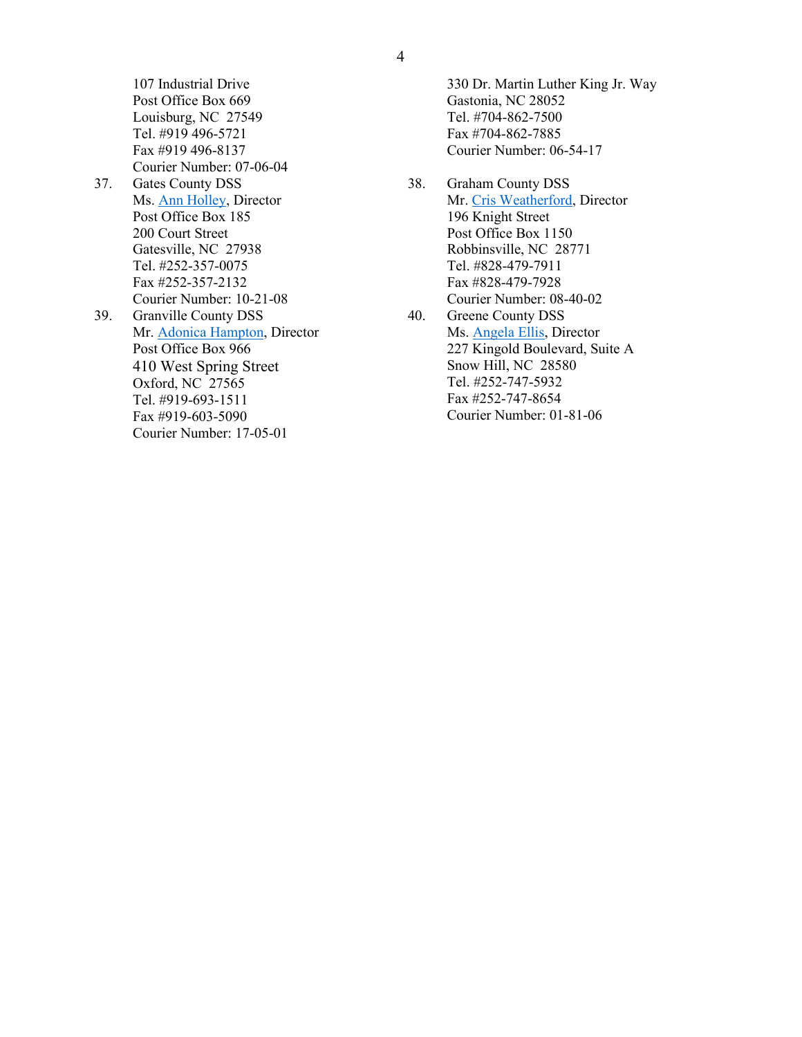107 Industrial Drive Post Office Box 669 Louisburg, NC 27549 Tel. #919 496-5721 Fax #919 496-8137 Courier Number: 07-06-04 37. Gates County DSS Ms. [Ann Holley,](mailto:aholley@gatescountync.gov) Director Post Office Box 185 200 Court Street Gatesville, NC 27938 Tel. #252-357-0075 Fax #252-357-2132 Courier Number: 10-21-08 39. Granville County DSS Mr. [Adonica Hampton,](mailto:Adonica.Hampton@granvillecounty.org) Director Post Office Box 966 410 West Spring Street Oxford, NC 27565 Tel. #919-693-1511 Fax #919-603-5090 Courier Number: 17-05-01

330 Dr. Martin Luther King Jr. Way Gastonia, NC 28052 Tel. #704-862-7500 Fax #704-862-7885 Courier Number: 06-54-17

- 38. Graham County DSS Mr. [Cris Weatherford,](mailto:cris.weatherford@grahamcounty.org) Director 196 Knight Street Post Office Box 1150 Robbinsville, NC 28771 Tel. #828-479-7911 Fax #828-479-7928 Courier Number: 08-40-02
- 40. Greene County DSS Ms. [Angela Ellis,](mailto:angela.ellis@greenecountync.gov) Director 227 Kingold Boulevard, Suite A Snow Hill, NC 28580 Tel. #252-747-5932 Fax #252-747-8654 Courier Number: 01-81-06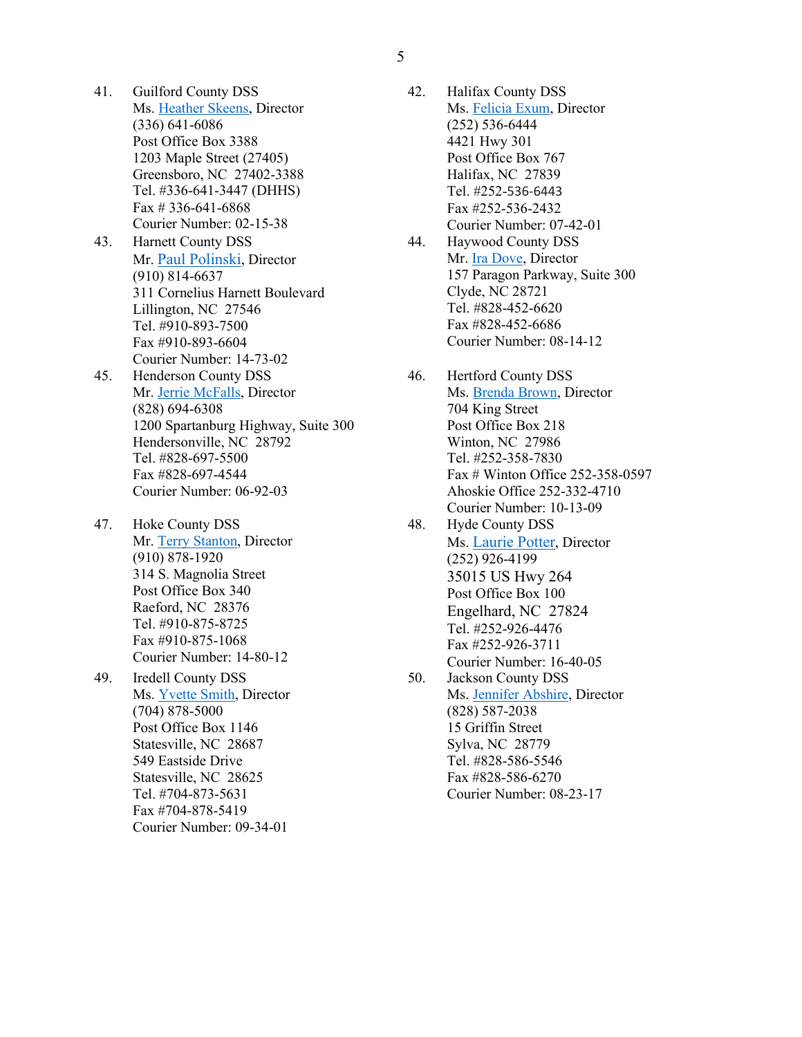5

- 41. Guilford County DSS Ms. [Heather Skeens,](mailto:hskeens@myguilford.com) Director (336) 641-6086 Post Office Box 3388 1203 Maple Street (27405) Greensboro, NC 27402-3388 Tel. #336-641-3447 (DHHS) Fax # 336-641-6868 Courier Number: 02-15-38
- 43. Harnett County DSS Mr. [Paul Polinski,](mailto:ppolinski@harnett.org) Director (910) 814-6637 311 Cornelius Harnett Boulevard Lillington, NC 27546 Tel. #910-893-7500 Fax #910-893-6604 Courier Number: 14-73-02
- 45. Henderson County DSS Mr. [Jerrie McFalls,](mailto:mcfallsj@hendersoncountync.gov) Director (828) 694-6308 1200 Spartanburg Highway, Suite 300 Hendersonville, NC 28792 Tel. #828-697-5500 Fax #828-697-4544 Courier Number: 06-92-03
- 47. Hoke County DSS Mr. [Terry Stanton,](mailto:tstanton@hokecounty.org) Director (910) 878-1920 314 S. Magnolia Street Post Office Box 340 Raeford, NC 28376 Tel. #910-875-8725 Fax #910-875-1068 Courier Number: 14-80-12
- 49. Iredell County DSS Ms. [Yvette Smith,](mailto:Yvette.smith@iredell.nc.gov) Director (704) 878-5000 Post Office Box 1146 Statesville, NC 28687 549 Eastside Drive Statesville, NC 28625 Tel. #704-873-5631 Fax #704-878-5419 Courier Number: 09-34-01
- 42. Halifax County DSS Ms. [Felicia Exum,](mailto:exumf@halifaxnc.com) Director (252) 536-6444 4421 Hwy 301 Post Office Box 767 Halifax, NC 27839 Tel. #252-536-6443 Fax #252-536-2432 Courier Number: 07-42-01
- 44. Haywood County DSS Mr. [Ira Dove,](mailto:Ira.Dove@haywoodcountync.gov) Director 157 Paragon Parkway, Suite 300 Clyde, NC 28721 Tel. #828-452-6620 Fax #828-452-6686 Courier Number: 08-14-12
- 46. Hertford County DSS Ms. [Brenda Brown,](mailto:Brenda.brown@hertfordcountync.gov) Director 704 King Street Post Office Box 218 Winton, NC 27986 Tel. #252-358-7830 Fax # Winton Office 252-358-0597 Ahoskie Office 252-332-4710 Courier Number: 10-13-09
- 48. Hyde County DSS Ms. [Laurie Potter,](mailto:LPotter@hydecountync.gov) Director (252) 926-4199 35015 US Hwy 264 Post Office Box 100 Engelhard, NC 27824 Tel. #252-926-4476 Fax #252-926-3711 Courier Number: 16-40-05
- 50. Jackson County DSS Ms. [Jennifer Abshire,](mailto:jabshire@jcdss.org) Director (828) 587-2038 15 Griffin Street Sylva, NC 28779 Tel. #828-586-5546 Fax #828-586-6270 Courier Number: 08-23-17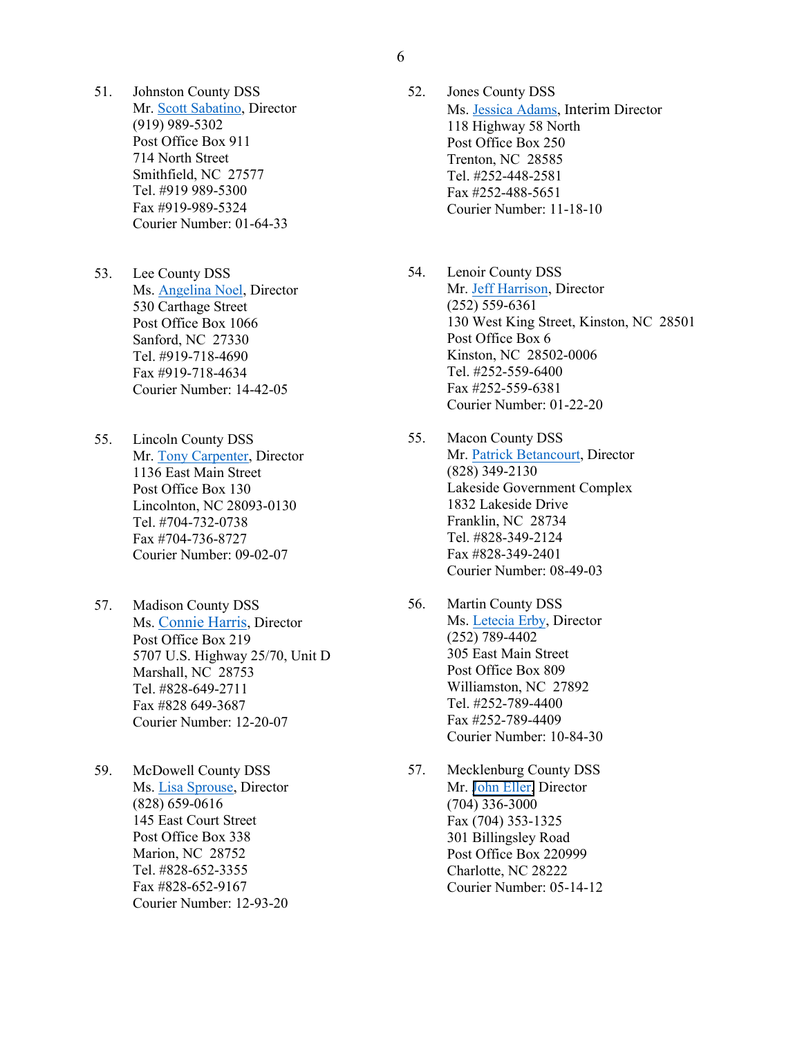- 51. Johnston County DSS Mr. [Scott Sabatino,](mailto:Scott.Sabatino@johnstonnc.com) Director (919) 989-5302 Post Office Box 911 714 North Street Smithfield, NC 27577 Tel. #919 989-5300 Fax #919-989-5324 Courier Number: 01-64-33
- 53. Lee County DSS Ms. [Angelina Noel,](mailto:ANoel@leecountync.gov) Director 530 Carthage Street Post Office Box 1066 Sanford, NC 27330 Tel. #919-718-4690 Fax #919-718-4634 Courier Number: 14-42-05
- 55. Lincoln County DSS Mr. [Tony Carpenter,](mailto:tcarpenter@lincolncounty.org) Director 1136 East Main Street Post Office Box 130 Lincolnton, NC 28093-0130 Tel. #704-732-0738 Fax #704-736-8727 Courier Number: 09-02-07
- 57. Madison County DSS Ms. [Connie Harris,](mailto:charris@madisoncountync.gov) Director Post Office Box 219 5707 U.S. Highway 25/70, Unit D Marshall, NC 28753 Tel. #828-649-2711 Fax #828 649-3687 Courier Number: 12-20-07
- 59. McDowell County DSS Ms. [Lisa Sprouse,](mailto:Lisa.sprouse@mcdowellcountyncdss.org) Director (828) 659-0616 145 East Court Street Post Office Box 338 Marion, NC 28752 Tel. #828-652-3355 Fax #828-652-9167 Courier Number: 12-93-20
- 52. Jones County DSS Ms. [Jessica Adams,](mailto:jadams@jonescountync.gov) Interim Director 118 Highway 58 North Post Office Box 250 Trenton, NC 28585 Tel. #252-448-2581 Fax #252-488-5651 Courier Number: 11-18-10
- 54. Lenoir County DSS Mr. [Jeff Harrison,](mailto:jharrison@dss.co.lenoir.nc.us) Director (252) 559-6361 130 West King Street, Kinston, NC 28501 Post Office Box 6 Kinston, NC 28502-0006 Tel. #252-559-6400 Fax #252-559-6381 Courier Number: 01-22-20
- 55. Macon County DSS Mr. [Patrick Betancourt,](mailto:pbetancourt@maconnc.org) Director (828) 349-2130 Lakeside Government Complex 1832 Lakeside Drive Franklin, NC 28734 Tel. #828-349-2124 Fax #828-349-2401 Courier Number: 08-49-03
- 56. Martin County DSS Ms. [Letecia Erby,](mailto:lerby@martincountyncgov.com) Director (252) 789-4402 305 East Main Street Post Office Box 809 Williamston, NC 27892 Tel. #252-789-4400 Fax #252-789-4409 Courier Number: 10-84-30
- 57. Mecklenburg County DSS Mr. [John Eller](mailto:John.Eller@MecklenburgCountyNC.gov), Director (704) 336-3000 Fax (704) 353-1325 301 Billingsley Road Post Office Box 220999 Charlotte, NC 28222 Courier Number: 05-14-12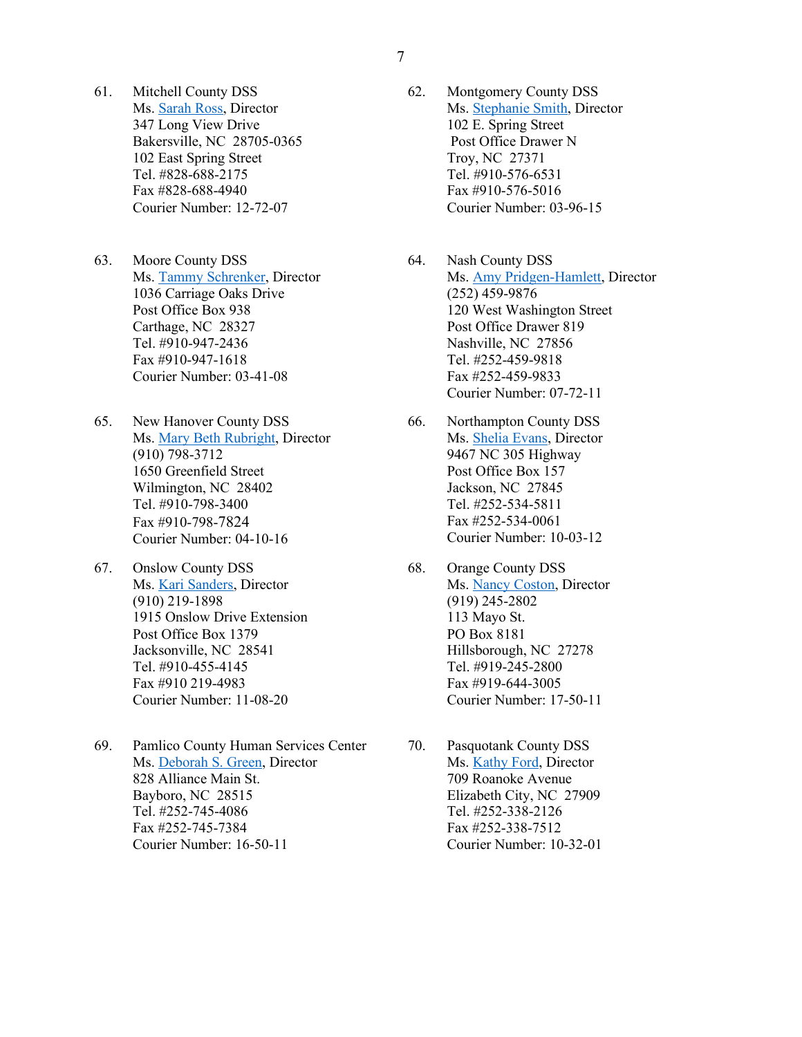- 61. Mitchell County DSS Ms. [Sarah Ross,](mailto:Sara.Ross@mitchellcounty.org) Director 347 Long View Drive Bakersville, NC 28705-0365 102 East Spring Street Tel. #828-688-2175 Fax #828-688-4940 Courier Number: 12-72-07
- 63. Moore County DSS Ms. [Tammy Schrenker,](mailto:tschrenker@moorecountync.gov) Director 1036 Carriage Oaks Drive Post Office Box 938 Carthage, NC 28327 Tel. #910-947-2436 Fax #910-947-1618 Courier Number: 03-41-08
- 65. New Hanover County DSS Ms. [Mary Beth Rubright,](mailto:mrubright@nhcgov.com) Director (910) 798-3712 1650 Greenfield Street Wilmington, NC 28402 Tel. #910-798-3400 Fax #910-798-7824 Courier Number: 04-10-16
- 67. Onslow County DSS Ms. [Kari Sanders,](mailto:kari_sanders@onslowcountync.gov) Director (910) 219-1898 1915 Onslow Drive Extension Post Office Box 1379 Jacksonville, NC 28541 Tel. #910-455-4145 Fax #910 219-4983 Courier Number: 11-08-20
- 69. Pamlico County Human Services Center Ms. [Deborah S. Green,](mailto:Dgreen@pamlicodss.net) Director 828 Alliance Main St. Bayboro, NC 28515 Tel. #252-745-4086 Fax #252-745-7384 Courier Number: 16-50-11
- 62. Montgomery County DSS Ms. [Stephanie Smith,](mailto:Stephanie.smith@montgomerycountync.com) Director 102 E. Spring Street Post Office Drawer N Troy, NC 27371 Tel. #910-576-6531 Fax #910-576-5016 Courier Number: 03-96-15
- 64. Nash County DSS Ms. [Amy Pridgen-Hamlett,](mailto:Amy.Pridgen-Hamlett@nashcountync.gov) Director (252) 459-9876 120 West Washington Street Post Office Drawer 819 Nashville, NC 27856 Tel. #252-459-9818 Fax #252-459-9833 Courier Number: 07-72-11
- 66. Northampton County DSS Ms. [Shelia Evans,](mailto:Shelia.Evans@nhcnc.net) Director 9467 NC 305 Highway Post Office Box 157 Jackson, NC 27845 Tel. #252-534-5811 Fax #252-534-0061 Courier Number: 10-03-12
- 68. Orange County DSS Ms. [Nancy Coston,](mailto:ncoston@orangecountync.gov) Director (919) 245-2802 113 Mayo St. PO Box 8181 Hillsborough, NC 27278 Tel. #919-245-2800 Fax #919-644-3005 Courier Number: 17-50-11
- 70. Pasquotank County DSS Ms. [Kathy Ford,](mailto:Kathy.Ford@pcdss.com) Director 709 Roanoke Avenue Elizabeth City, NC 27909 Tel. #252-338-2126 Fax #252-338-7512 Courier Number: 10-32-01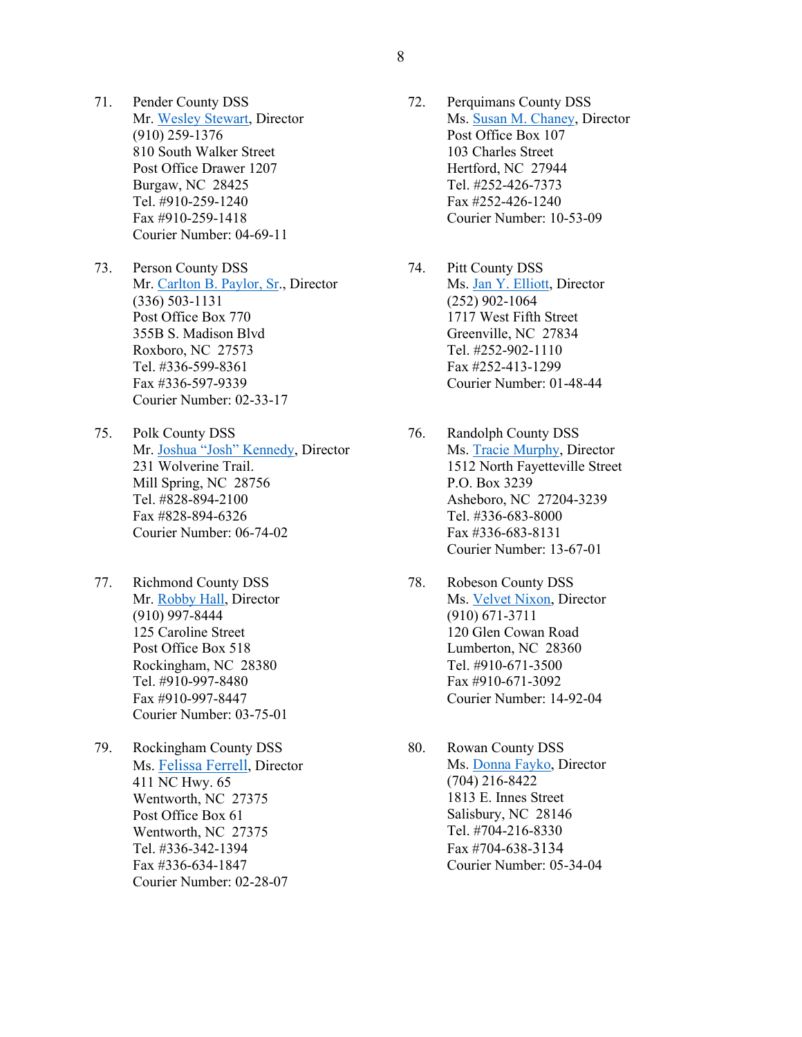- 71. Pender County DSS Mr. [Wesley Stewart,](mailto:wstewart@pendercountync.gov) Director (910) 259-1376 810 South Walker Street Post Office Drawer 1207 Burgaw, NC 28425 Tel. #910-259-1240 Fax #910-259-1418 Courier Number: 04-69-11
- 73. Person County DSS Mr. [Carlton B. Paylor, Sr.](mailto:cpaylor@personcountync.gov), Director (336) 503-1131 Post Office Box 770 355B S. Madison Blvd Roxboro, NC 27573 Tel. #336-599-8361 Fax #336-597-9339 Courier Number: 02-33-17
- 75. Polk County DSS Mr. [Joshua "Josh" Kennedy,](mailto:jkennedy@polknc.org) Director 231 Wolverine Trail. Mill Spring, NC 28756 Tel. #828-894-2100 Fax #828-894-6326 Courier Number: 06-74-02
- 77. Richmond County DSS Mr. [Robby Hall,](mailto:robby.hall@richmondnc.com) Director (910) 997-8444 125 Caroline Street Post Office Box 518 Rockingham, NC 28380 Tel. #910-997-8480 Fax #910-997-8447 Courier Number: 03-75-01
- 79. Rockingham County DSS Ms. [Felissa Ferrell,](mailto:fferrell@co.rockingham.nc.us) Director 411 NC Hwy. 65 Wentworth, NC 27375 Post Office Box 61 Wentworth, NC 27375 Tel. #336-342-1394 Fax #336-634-1847 Courier Number: 02-28-07
- 72. Perquimans County DSS Ms. [Susan M. Chaney,](mailto:Schaney@perqdss.net) Director Post Office Box 107 103 Charles Street Hertford, NC 27944 Tel. #252-426-7373 Fax #252-426-1240 Courier Number: 10-53-09
- 74. Pitt County DSS Ms. [Jan Y. Elliott,](mailto:Jan.elliott@pittcountync.gov) Director (252) 902-1064 1717 West Fifth Street Greenville, NC 27834 Tel. #252-902-1110 Fax #252-413-1299 Courier Number: 01-48-44
- 76. Randolph County DSS Ms. [Tracie Murphy,](mailto:Tracie.Murphy@randolphcountync.gov) Director 1512 North Fayetteville Street P.O. Box 3239 Asheboro, NC 27204-3239 Tel. #336-683-8000 Fax #336-683-8131 Courier Number: 13-67-01
- 78. Robeson County DSS Ms. [Velvet Nixon,](mailto:velvet.nixon@dss.co.robeson.nc.us) Director (910) 671-3711 120 Glen Cowan Road Lumberton, NC 28360 Tel. #910-671-3500 Fax #910-671-3092 Courier Number: 14-92-04
- 80. Rowan County DSS Ms. [Donna Fayko,](mailto:Donna.Fayko@rowancountync.gov) Director (704) 216-8422 1813 E. Innes Street Salisbury, NC 28146 Tel. #704-216-8330 Fax #704-638-3134 Courier Number: 05-34-04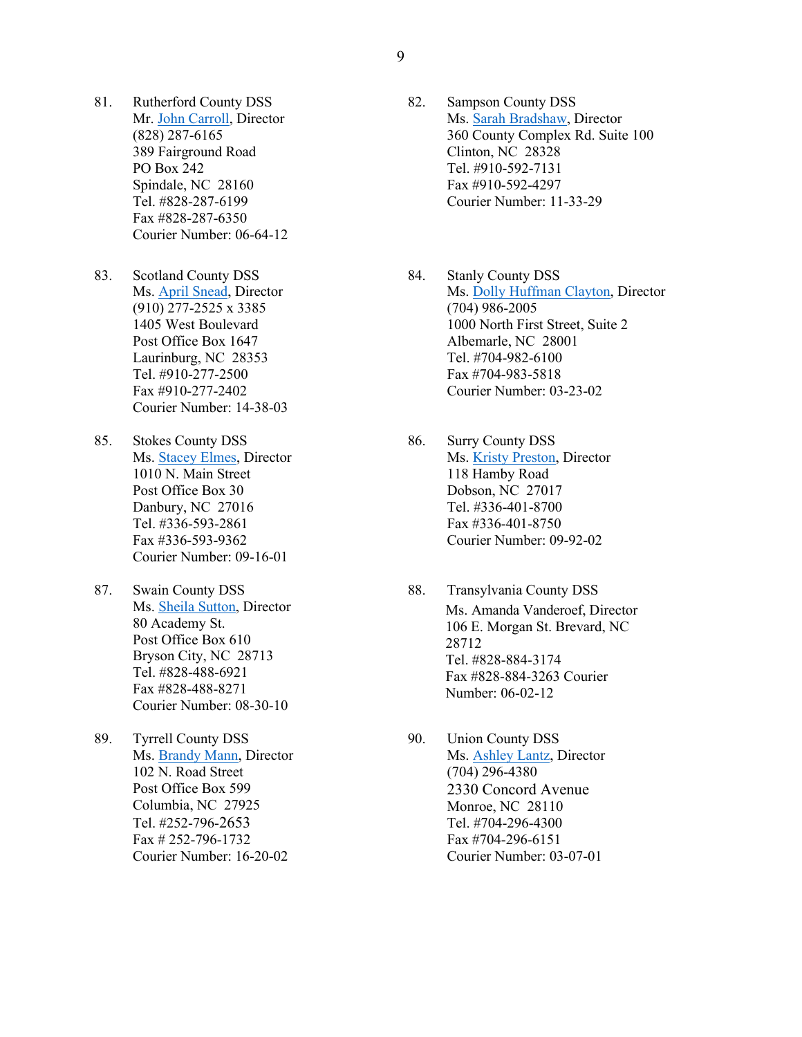- 81. Rutherford County DSS Mr. [John Carroll,](mailto:John.carroll@rutherfordcountync.gov) Director (828) 287-6165 389 Fairground Road PO Box 242 Spindale, NC 28160 Tel. #828-287-6199 Fax #828-287-6350 Courier Number: 06-64-12
- 83. Scotland County DSS Ms. [April Snead,](mailto:asnead@scotlandcounty.org) Director (910) 277-2525 x 3385 1405 West Boulevard Post Office Box 1647 Laurinburg, NC 28353 Tel. #910-277-2500 Fax #910-277-2402 Courier Number: 14-38-03
- 85. Stokes County DSS Ms. [Stacey Elmes,](mailto:selmes@co.stokes.nc.us) Director 1010 N. Main Street Post Office Box 30 Danbury, NC 27016 Tel. #336-593-2861 Fax #336-593-9362 Courier Number: 09-16-01
- 87. Swain County DSS Ms. [Sheila Sutton,](mailto:Sheila.sutton@swaincountync.gov) Director 80 Academy St. Post Office Box 610 Bryson City, NC 28713 Tel. #828-488-6921 Fax #828-488-8271 Courier Number: 08-30-10
- 89. Tyrrell County DSS Ms. [Brandy Mann,](mailto:bmann@tyrrellcounty.net) Director 102 N. Road Street Post Office Box 599 Columbia, NC 27925 Tel. #252-796-2653 Fax # 252-796-1732 Courier Number: 16-20-02
- 82. Sampson County DSS Ms. [Sarah Bradshaw,](mailto:Sarah.Bradshaw@sampsondss.net) Director 360 County Complex Rd. Suite 100 Clinton, NC 28328 Tel. #910-592-7131 Fax #910-592-4297 Courier Number: 11-33-29
- 84. Stanly County DSS Ms. [Dolly Huffman Clayton,](mailto:dhclayton@stanlycountync.gov) Director (704) 986-2005 1000 North First Street, Suite 2 Albemarle, NC 28001 Tel. #704-982-6100 Fax #704-983-5818 Courier Number: 03-23-02
- 86. Surry County DSS Ms. [Kristy Preston,](mailto:prestonk@co.surry.nc.us) Director 118 Hamby Road Dobson, NC 27017 Tel. #336-401-8700 Fax #336-401-8750 Courier Number: 09-92-02
- 88. Transylvania County DSS Ms. [Amanda Vanderoef,](mailto:amanda.vanderoef@transylvaniacounty.org) Director 106 E. Morgan St. Brevard, NC 28712 Tel. #828-884-3174 Fax #828-884-3263 Courier Number: 06-02-12
- 90. Union County DSS Ms. [Ashley Lantz,](mailto:Ashley.lantz@unioncountync.gov) Director (704) 296-4380 2330 Concord Avenue Monroe, NC 28110 Tel. #704-296-4300 Fax #704-296-6151 Courier Number: 03-07-01